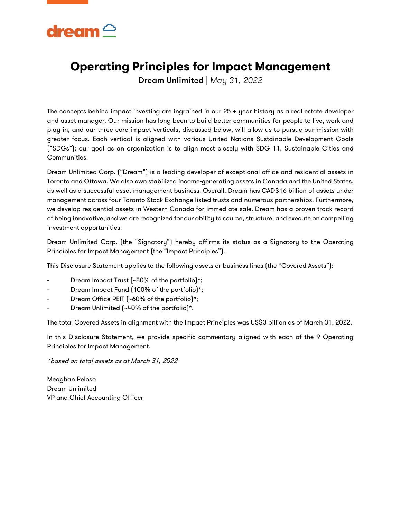

### **Operating Principles for Impact Management**

Dream Unlimited | *May 31, 2022*

The concepts behind impact investing are ingrained in our 25 + year history as a real estate developer and asset manager. Our mission has long been to build better communities for people to live, work and play in, and our three core impact verticals, discussed below, will allow us to pursue our mission with greater focus. Each vertical is aligned with various United Nations Sustainable Development Goals ("SDGs"); our goal as an organization is to align most closely with SDG 11, Sustainable Cities and Communities.

Dream Unlimited Corp. ("Dream") is a leading developer of exceptional office and residential assets in Toronto and Ottawa. We also own stabilized income-generating assets in Canada and the United States, as well as a successful asset management business. Overall, Dream has CAD\$16 billion of assets under management across four Toronto Stock Exchange listed trusts and numerous partnerships. Furthermore, we develop residential assets in Western Canada for immediate sale. Dream has a proven track record of being innovative, and we are recognized for our ability to source, structure, and execute on compelling investment opportunities.

Dream Unlimited Corp. (the "Signatory") hereby affirms its status as a Signatory to the Operating Principles for Impact Management (the "Impact Principles").

This Disclosure Statement applies to the following assets or business lines (the "Covered Assets"):

- Dream Impact Trust (~80% of the portfolio)\*;
- Dream Impact Fund (100% of the portfolio)\*;
- Dream Office REIT (~60% of the portfolio)\*;
- Dream Unlimited (~40% of the portfolio)\*.

The total Covered Assets in alignment with the Impact Principles was US\$3 billion as of March 31, 2022.

In this Disclosure Statement, we provide specific commentary aligned with each of the 9 Operating Principles for Impact Management.

\*based on total assets as at March 31, 2022

Meaghan Peloso Dream Unlimited VP and Chief Accounting Officer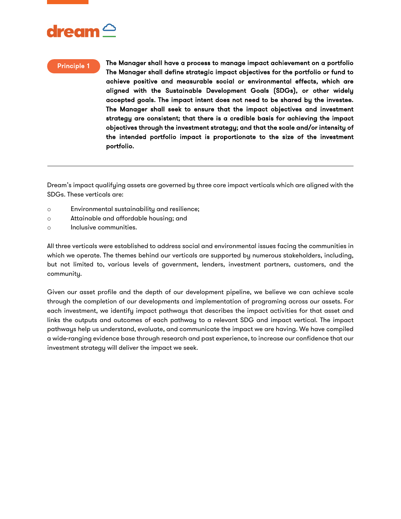

#### Principle 1

The Manager shall have a process to manage impact achievement on a portfolio The Manager shall define strategic impact objectives for the portfolio or fund to achieve positive and measurable social or environmental effects, which are aligned with the Sustainable Development Goals (SDGs), or other widely accepted goals. The impact intent does not need to be shared by the investee. The Manager shall seek to ensure that the impact objectives and investment strategy are consistent; that there is a credible basis for achieving the impact objectives through the investment strategy; and that the scale and/or intensity of the intended portfolio impact is proportionate to the size of the investment portfolio.

Dream's impact qualifying assets are governed by three core impact verticals which are aligned with the SDGs. These verticals are:

- o Environmental sustainability and resilience;
- o Attainable and affordable housing; and
- o Inclusive communities.

All three verticals were established to address social and environmental issues facing the communities in which we operate. The themes behind our verticals are supported by numerous stakeholders, including, but not limited to, various levels of government, lenders, investment partners, customers, and the community.

Given our asset profile and the depth of our development pipeline, we believe we can achieve scale through the completion of our developments and implementation of programing across our assets. For each investment, we identify impact pathways that describes the impact activities for that asset and links the outputs and outcomes of each pathway to a relevant SDG and impact vertical. The impact pathways help us understand, evaluate, and communicate the impact we are having. We have compiled a wide-ranging evidence base through research and past experience, to increase our confidence that our investment strategy will deliver the impact we seek.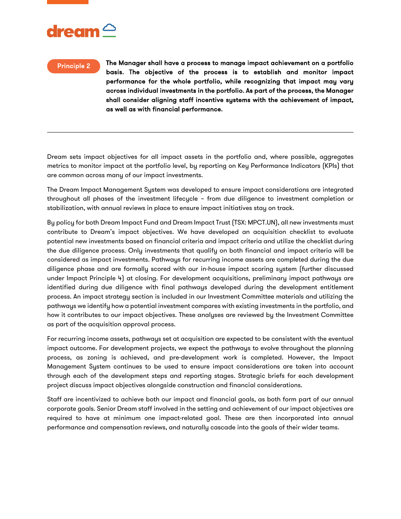

#### Principle 2

The Manager shall have a process to manage impact achievement on a portfolio basis. The objective of the process is to establish and monitor impact performance for the whole portfolio, while recognizing that impact may vary across individual investments in the portfolio. As part of the process, the Manager shall consider aligning staff incentive systems with the achievement of impact, as well as with financial performance.

Dream sets impact objectives for all impact assets in the portfolio and, where possible, aggregates metrics to monitor impact at the portfolio level, by reporting on Key Performance Indicators (KPIs) that are common across many of our impact investments.

The Dream Impact Management System was developed to ensure impact considerations are integrated throughout all phases of the investment lifecycle – from due diligence to investment completion or stabilization, with annual reviews in place to ensure impact initiatives stay on track.

By policy for both Dream Impact Fund and Dream Impact Trust (TSX: MPCT.UN), all new investments must contribute to Dream's impact objectives. We have developed an acquisition checklist to evaluate potential new investments based on financial criteria and impact criteria and utilize the checklist during the due diligence process. Only investments that qualify on both financial and impact criteria will be considered as impact investments. Pathways for recurring income assets are completed during the due diligence phase and are formally scored with our in-house impact scoring system (further discussed under Impact Principle 4) at closing. For development acquisitions, preliminary impact pathways are identified during due diligence with final pathways developed during the development entitlement process. An impact strategy section is included in our Investment Committee materials and utilizing the pathways we identify how a potential investment compares with existing investments in the portfolio, and how it contributes to our impact objectives. These analyses are reviewed by the Investment Committee as part of the acquisition approval process.

For recurring income assets, pathways set at acquisition are expected to be consistent with the eventual impact outcome. For development projects, we expect the pathways to evolve throughout the planning process, as zoning is achieved, and pre-development work is completed. However, the Impact Management System continues to be used to ensure impact considerations are taken into account through each of the development steps and reporting stages. Strategic briefs for each development project discuss impact objectives alongside construction and financial considerations.

Staff are incentivized to achieve both our impact and financial goals, as both form part of our annual corporate goals. Senior Dream staff involved in the setting and achievement of our impact objectives are required to have at minimum one impact-related goal. These are then incorporated into annual performance and compensation reviews, and naturally cascade into the goals of their wider teams.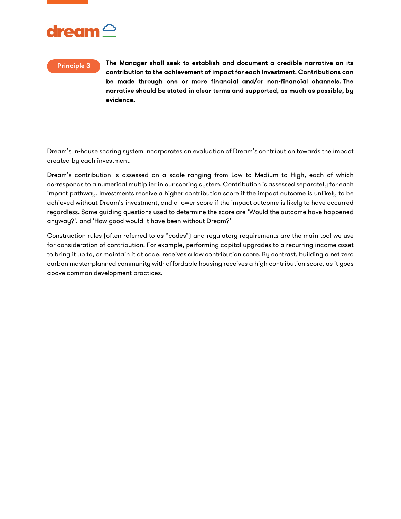

### Principle 3

The Manager shall seek to establish and document a credible narrative on its contribution to the achievement of impact for each investment. Contributions can be made through one or more financial and/or non-financial channels. The narrative should be stated in clear terms and supported, as much as possible, by evidence.

Dream's in-house scoring system incorporates an evaluation of Dream's contribution towards the impact created by each investment.

Dream's contribution is assessed on a scale ranging from Low to Medium to High, each of which corresponds to a numerical multiplier in our scoring system. Contribution is assessed separately for each impact pathway. Investments receive a higher contribution score if the impact outcome is unlikely to be achieved without Dream's investment, and a lower score if the impact outcome is likely to have occurred regardless. Some guiding questions used to determine the score are 'Would the outcome have happened anyway?', and 'How good would it have been without Dream?'

Construction rules (often referred to as "codes") and regulatory requirements are the main tool we use for consideration of contribution. For example, performing capital upgrades to a recurring income asset to bring it up to, or maintain it at code, receives a low contribution score. By contrast, building a net zero carbon master-planned community with affordable housing receives a high contribution score, as it goes above common development practices.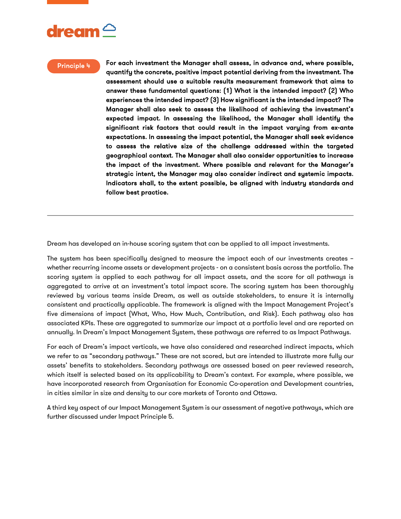#### Principle 4

For each investment the Manager shall assess, in advance and, where possible, quantify the concrete, positive impact potential deriving from the investment. The assessment should use a suitable results measurement framework that aims to answer these fundamental questions: (1) What is the intended impact? (2) Who experiences the intended impact? (3) How significant is the intended impact? The Manager shall also seek to assess the likelihood of achieving the investment's expected impact. In assessing the likelihood, the Manager shall identify the significant risk factors that could result in the impact varying from ex-ante expectations. In assessing the impact potential, the Manager shall seek evidence to assess the relative size of the challenge addressed within the targeted geographical context. The Manager shall also consider opportunities to increase the impact of the investment. Where possible and relevant for the Manager's strategic intent, the Manager may also consider indirect and systemic impacts. Indicators shall, to the extent possible, be aligned with industry standards and follow best practice.

Dream has developed an in-house scoring system that can be applied to all impact investments.

The system has been specifically designed to measure the impact each of our investments creates – whether recurring income assets or development projects - on a consistent basis across the portfolio. The scoring system is applied to each pathway for all impact assets, and the score for all pathways is aggregated to arrive at an investment's total impact score. The scoring system has been thoroughly reviewed by various teams inside Dream, as well as outside stakeholders, to ensure it is internally consistent and practically applicable. The framework is aligned with the Impact Management Project's five dimensions of impact (What, Who, How Much, Contribution, and Risk). Each pathway also has associated KPIs. These are aggregated to summarize our impact at a portfolio level and are reported on annually. In Dream's Impact Management System, these pathways are referred to as Impact Pathways.

For each of Dream's impact verticals, we have also considered and researched indirect impacts, which we refer to as "secondary pathways." These are not scored, but are intended to illustrate more fully our assets' benefits to stakeholders. Secondary pathways are assessed based on peer reviewed research, which itself is selected based on its applicability to Dream's context. For example, where possible, we have incorporated research from Organisation for Economic Co-operation and Development countries, in cities similar in size and density to our core markets of Toronto and Ottawa.

A third key aspect of our Impact Management System is our assessment of negative pathways, which are further discussed under Impact Principle 5.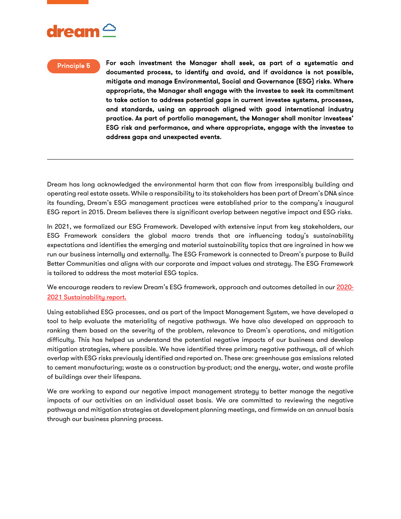### Principle 5

For each investment the Manager shall seek, as part of a systematic and documented process, to identify and avoid, and if avoidance is not possible, mitigate and manage Environmental, Social and Governance (ESG) risks. Where appropriate, the Manager shall engage with the investee to seek its commitment to take action to address potential gaps in current investee systems, processes, and standards, using an approach aligned with good international industry practice. As part of portfolio management, the Manager shall monitor investees' ESG risk and performance, and where appropriate, engage with the investee to address gaps and unexpected events.

Dream has long acknowledged the environmental harm that can flow from irresponsibly building and operating real estate assets. While a responsibility to its stakeholders has been part of Dream's DNA since its founding, Dream's ESG management practices were established prior to the company's inaugural ESG report in 2015. Dream believes there is significant overlap between negative impact and ESG risks.

In 2021, we formalized our ESG Framework. Developed with extensive input from key stakeholders, our ESG Framework considers the global macro trends that are influencing today's sustainability expectations and identifies the emerging and material sustainability topics that are ingrained in how we run our business internally and externally. The ESG Framework is connected to Dream's purpose to Build Better Communities and aligns with our corporate and impact values and strategy. The ESG Framework is tailored to address the most material ESG topics.

We encourage readers to review Dream's ESG framework, approach and outcomes detailed in our [2020-](https://dream.ca/wp-content/uploads/2021/12/2020_2021_Sustainability_Report_FINAL.pdf) [2021 Sustainability report.](https://dream.ca/wp-content/uploads/2021/12/2020_2021_Sustainability_Report_FINAL.pdf)

Using established ESG processes, and as part of the Impact Management System, we have developed a tool to help evaluate the materiality of negative pathways. We have also developed an approach to ranking them based on the severity of the problem, relevance to Dream's operations, and mitigation difficulty. This has helped us understand the potential negative impacts of our business and develop mitigation strategies, where possible. We have identified three primary negative pathways, all of which overlap with ESG risks previously identified and reported on. These are: greenhouse gas emissions related to cement manufacturing; waste as a construction by-product; and the energy, water, and waste profile of buildings over their lifespans.

We are working to expand our negative impact management strategy to better manage the negative impacts of our activities on an individual asset basis. We are committed to reviewing the negative pathways and mitigation strategies at development planning meetings, and firmwide on an annual basis through our business planning process.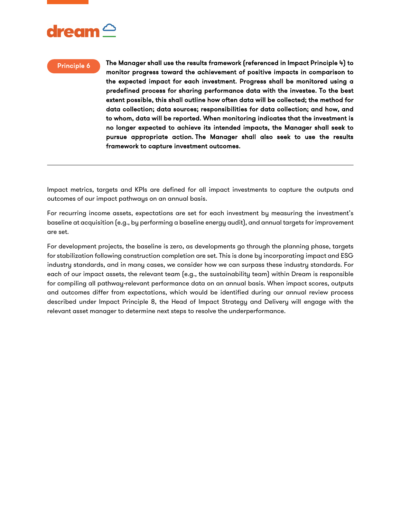## $\boldsymbol{\mathsf{d}}$ ream $\boldsymbol{\mathsf{\circ}}$

### Principle 6

The Manager shall use the results framework (referenced in Impact Principle 4) to monitor progress toward the achievement of positive impacts in comparison to the expected impact for each investment. Progress shall be monitored using a predefined process for sharing performance data with the investee. To the best extent possible, this shall outline how often data will be collected; the method for data collection; data sources; responsibilities for data collection; and how, and to whom, data will be reported. When monitoring indicates that the investment is no longer expected to achieve its intended impacts, the Manager shall seek to pursue appropriate action. The Manager shall also seek to use the results framework to capture investment outcomes.

Impact metrics, targets and KPIs are defined for all impact investments to capture the outputs and outcomes of our impact pathways on an annual basis.

For recurring income assets, expectations are set for each investment by measuring the investment's baseline at acquisition (e.g., by performing a baseline energy audit), and annual targets for improvement are set.

For development projects, the baseline is zero, as developments go through the planning phase, targets for stabilization following construction completion are set. This is done by incorporating impact and ESG industry standards, and in many cases, we consider how we can surpass these industry standards. For each of our impact assets, the relevant team (e.g., the sustainability team) within Dream is responsible for compiling all pathway-relevant performance data on an annual basis. When impact scores, outputs and outcomes differ from expectations, which would be identified during our annual review process described under Impact Principle 8, the Head of Impact Strategy and Delivery will engage with the relevant asset manager to determine next steps to resolve the underperformance.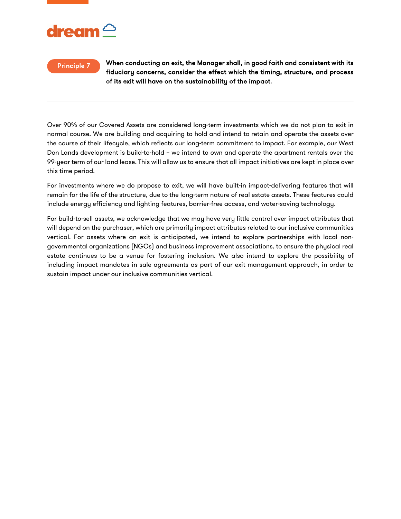### Principle 7

When conducting an exit, the Manager shall, in good faith and consistent with its fiduciary concerns, consider the effect which the timing, structure, and process of its exit will have on the sustainability of the impact.

Over 90% of our Covered Assets are considered long-term investments which we do not plan to exit in normal course. We are building and acquiring to hold and intend to retain and operate the assets over the course of their lifecycle, which reflects our long-term commitment to impact. For example, our West Don Lands development is build-to-hold – we intend to own and operate the apartment rentals over the 99-year term of our land lease. This will allow us to ensure that all impact initiatives are kept in place over this time period.

For investments where we do propose to exit, we will have built-in impact-delivering features that will remain for the life of the structure, due to the long-term nature of real estate assets. These features could include energy efficiency and lighting features, barrier-free access, and water-saving technology.

For build-to-sell assets, we acknowledge that we may have very little control over impact attributes that will depend on the purchaser, which are primarily impact attributes related to our inclusive communities vertical. For assets where an exit is anticipated, we intend to explore partnerships with local nongovernmental organizations (NGOs) and business improvement associations, to ensure the physical real estate continues to be a venue for fostering inclusion. We also intend to explore the possibility of including impact mandates in sale agreements as part of our exit management approach, in order to sustain impact under our inclusive communities vertical.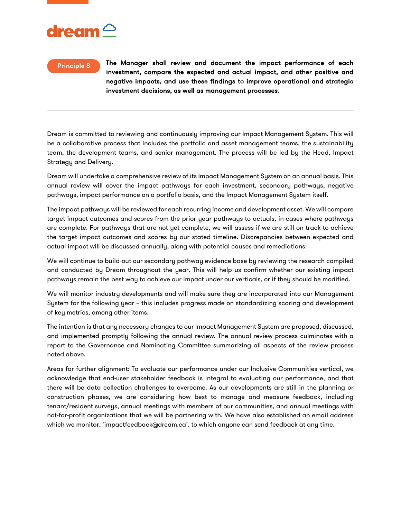# $\alpha$ ream $\sim$

### Principle 8

The Manager shall review and document the impact performance of each investment, compare the expected and actual impact, and other positive and negative impacts, and use these findings to improve operational and strategic investment decisions, as well as management processes.

Dream is committed to reviewing and continuously improving our Impact Management System. This will be a collaborative process that includes the portfolio and asset management teams, the sustainability team, the development teams, and senior management. The process will be led by the Head, Impact Strategy and Delivery.

Dream will undertake a comprehensive review of its Impact Management System on an annual basis. This annual review will cover the impact pathways for each investment, secondary pathways, negative pathways, impact performance on a portfolio basis, and the Impact Management System itself.

The impact pathways will be reviewed for each recurring income and development asset. We will compare target impact outcomes and scores from the prior year pathways to actuals, in cases where pathways are complete. For pathways that are not yet complete, we will assess if we are still on track to achieve the target impact outcomes and scores by our stated timeline. Discrepancies between expected and actual impact will be discussed annually, along with potential causes and remediations.

We will continue to build-out our secondary pathway evidence base by reviewing the research compiled and conducted by Dream throughout the year. This will help us confirm whether our existing impact pathways remain the best way to achieve our impact under our verticals, or if they should be modified.

We will monitor industry developments and will make sure they are incorporated into our Management System for the following year – this includes progress made on standardizing scoring and development of key metrics, among other items.

The intention is that any necessary changes to our Impact Management System are proposed, discussed, and implemented promptly following the annual review. The annual review process culminates with a report to the Governance and Nominating Committee summarizing all aspects of the review process noted above.

Areas for further alignment: To evaluate our performance under our Inclusive Communities vertical, we acknowledge that end-user stakeholder feedback is integral to evaluating our performance, and that there will be data collection challenges to overcome. As our developments are still in the planning or construction phases, we are considering how best to manage and measure feedback, including tenant/resident surveys, annual meetings with members of our communities, and annual meetings with not-for-profit organizations that we will be partnering with. We have also established an email address which we monitor, 'impactfeedback@dream.ca', to which anyone can send feedback at any time.